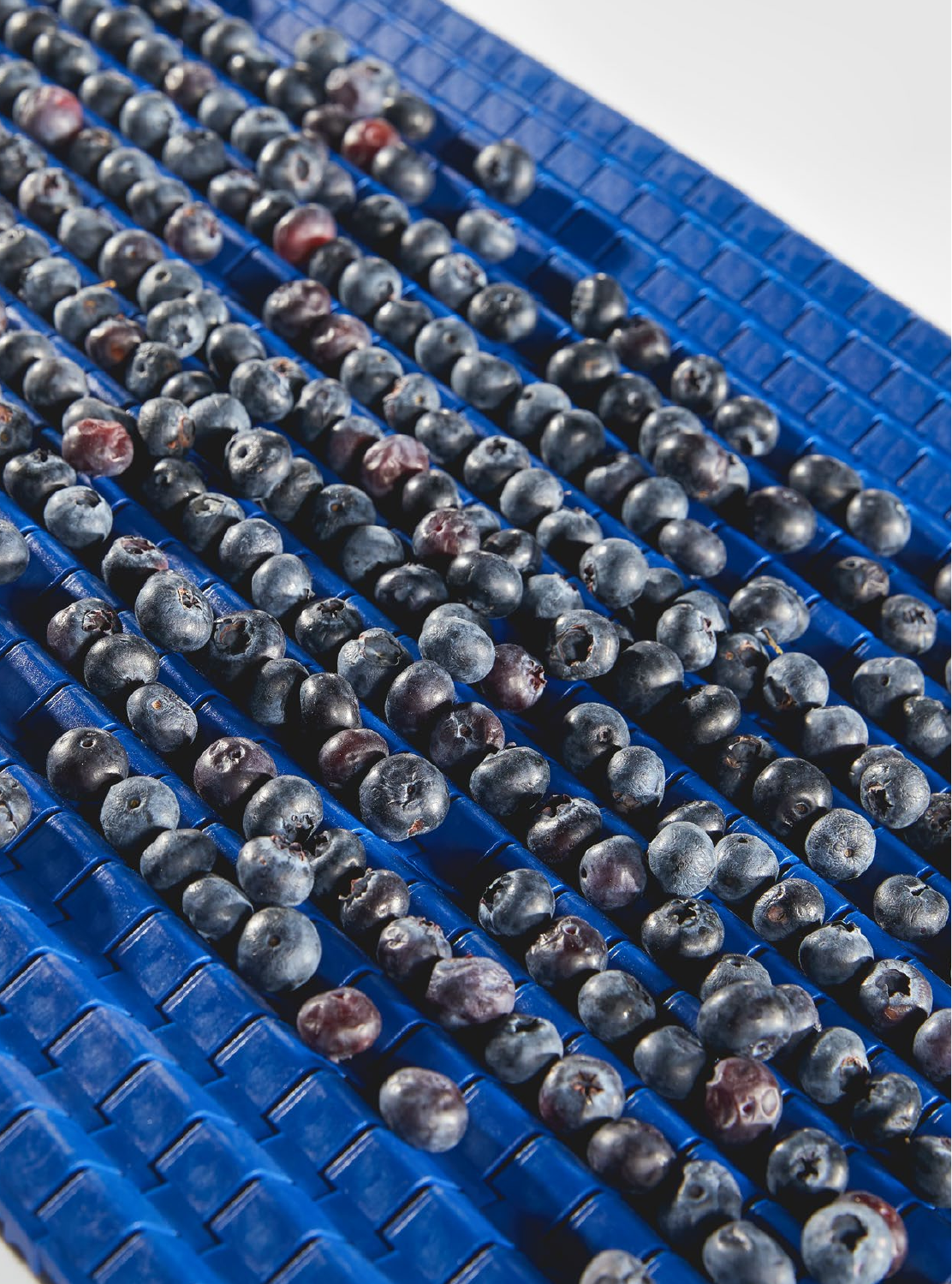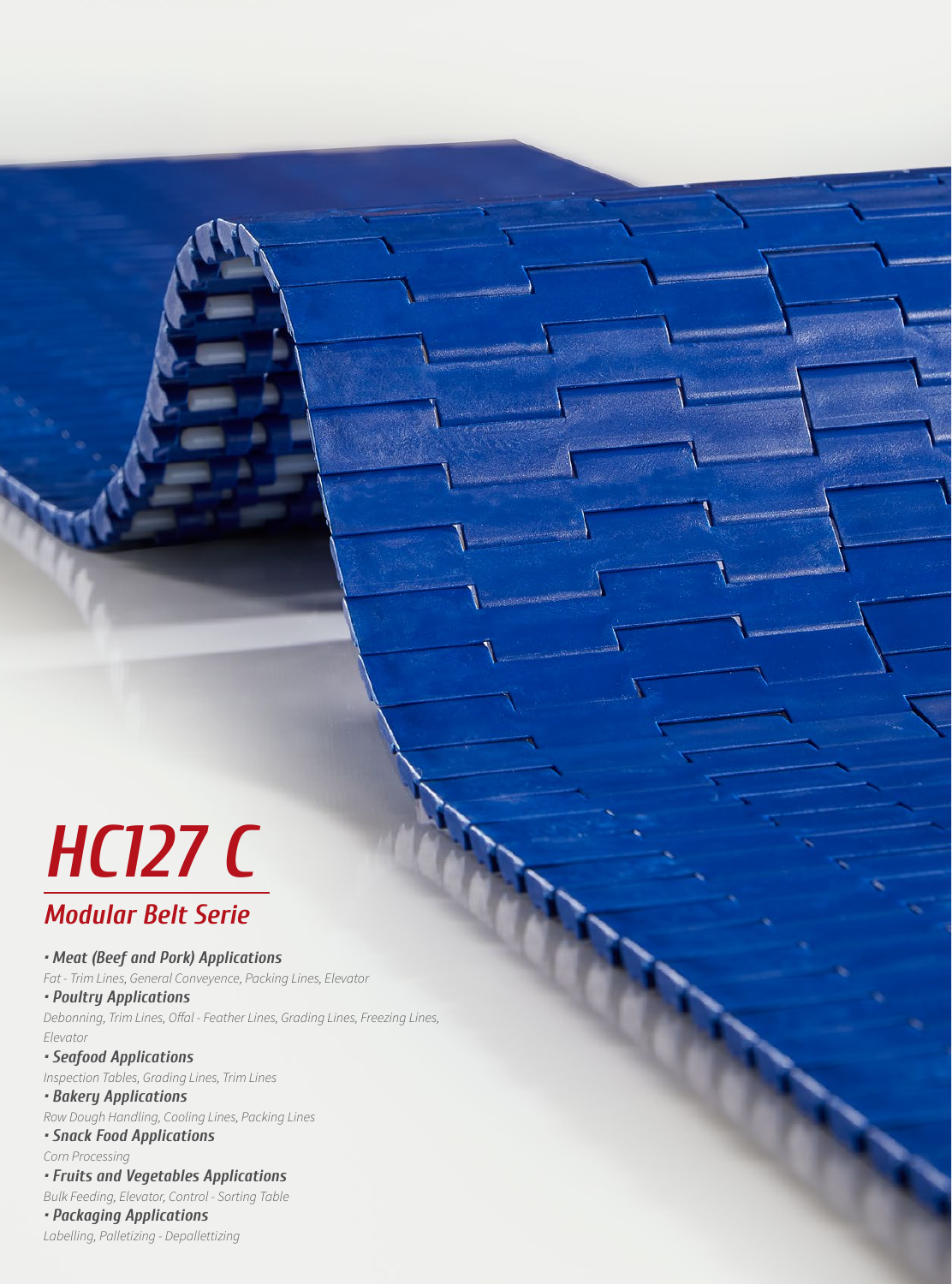# *HC127 C*

### *Modular Belt Serie*

#### *• Meat (Beef and Pork) Applications Fat - Trim Lines, General Conveyence, Packing Lines, Elevator*

*• Poultry Applications Debonning, Trim Lines, Offal - Feather Lines, Grading Lines, Freezing Lines, Elevator*

*• Seafood Applications Inspection Tables, Grading Lines, Trim Lines* 

#### *• Bakery Applications*

*Row Dough Handling, Cooling Lines, Packing Lines* 

#### *• Snack Food Applications*

*Corn Processing*

#### *• Fruits and Vegetables Applications*

*Bulk Feeding, Elevator, Control - Sorting Table*

#### *• Packaging Applications*

*Labelling, Palletizing - Depallettizing*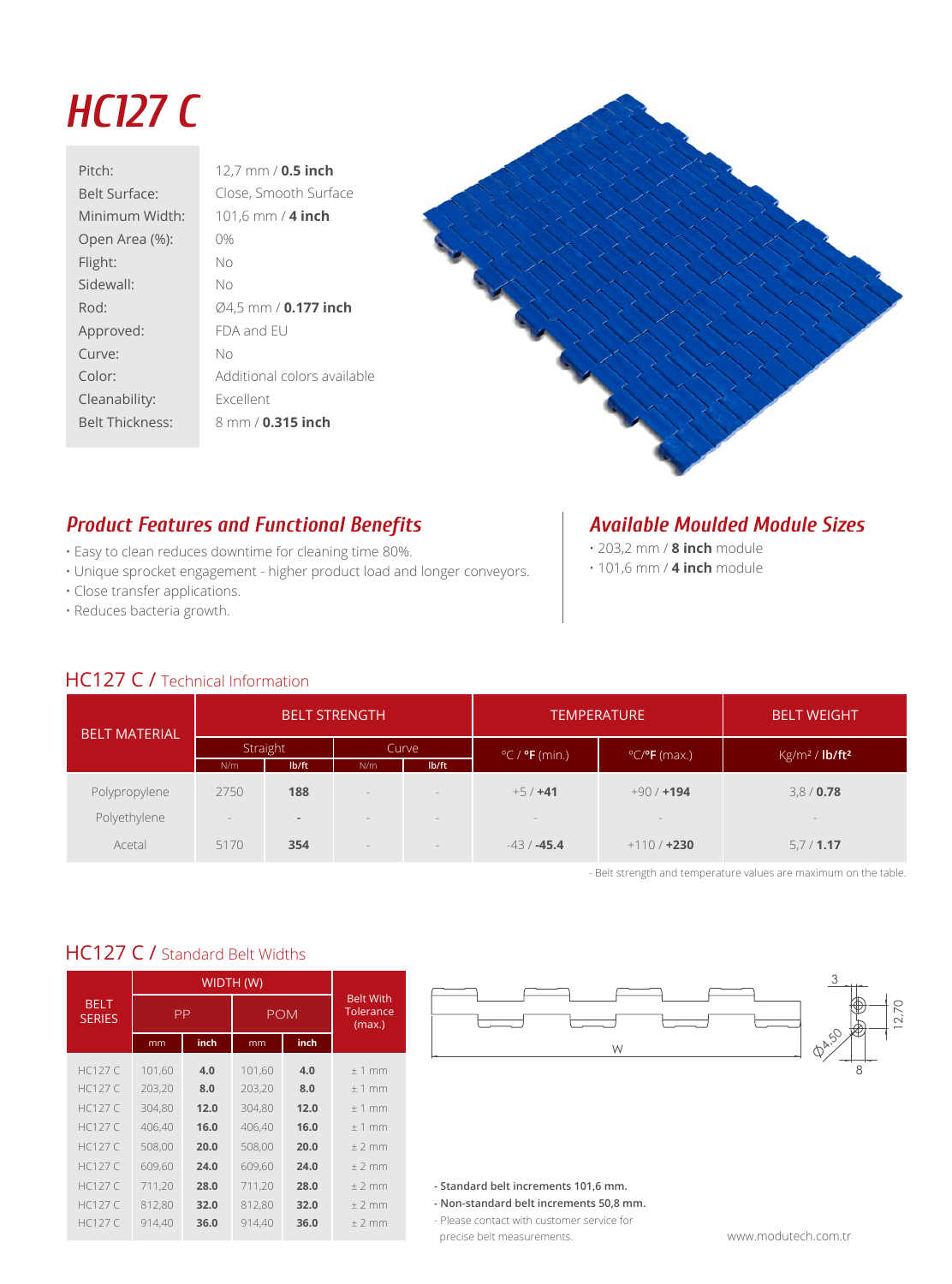

Pitch: Belt Surface: Minimum Width: Open Area (%): Flight: Sidewall: Rod: Approved: Curve: Color: Cleanability: Belt Thickness:

12,7 mm / **0.5 inch** Close, Smooth Surface 101,6 mm / **4 inch** 0% No No Ø4,5 mm / **0.177 inch** FDA and EU No Additional colors available Excellent 8 mm / **0.315 inch**



#### *Product Features and Functional Benefits*

- Easy to clean reduces downtime for cleaning time 80%.
- Unique sprocket engagement higher product load and longer conveyors.
- Close transfer applications.
- Reduces bacteria growth.

#### *Available Moulded Module Sizes*

- 203,2 mm / **8 inch** module
- 101,6 mm / **4 inch** module

#### HC127 C / Technical Information

| <b>BELT MATERIAL</b> | <b>BELT STRENGTH</b> |                          |        |       | <b>TEMPERATURE</b>                      |                                   | <b>BELT WEIGHT</b> |  |
|----------------------|----------------------|--------------------------|--------|-------|-----------------------------------------|-----------------------------------|--------------------|--|
|                      | Straight             |                          | Curve  |       | $\degree$ C / $\degree$ <b>F</b> (min.) | $^{\circ}$ C/ $^{\circ}$ F (max.) | $Kg/m^2 / lb/ft^2$ |  |
|                      | N/m                  | lb/ft                    | N/m    | lb/ft |                                         |                                   |                    |  |
| Polypropylene        | 2750                 | 188                      | $\sim$ |       | $+5/+41$                                | $+90/+194$                        | 3,8/0.78           |  |
| Polyethylene         | $\sim$               | $\overline{\phantom{m}}$ |        |       | $\sim$                                  | $\sim$                            | $\sim$             |  |
| Acetal               | 5170                 | 354                      |        |       | $-43/ -45.4$                            | $+110/$ +230                      | 5,7/1.17           |  |

- Belt strength and temperature values are maximum on the table.

#### HC127 C / Standard Belt Widths

| <b>BELT</b><br><b>SERIES</b> | PP     |      |        | <b>POM</b> | <b>Belt With</b><br>Tolerance<br>(max.) |  |
|------------------------------|--------|------|--------|------------|-----------------------------------------|--|
|                              | mm     | inch | mm     | inch       |                                         |  |
| <b>HC127 C</b>               | 101,60 | 4.0  | 101,60 | 4.0        | $+1$ mm                                 |  |
| HC127 C                      | 203,20 | 8.0  | 203,20 | 8.0        | $+1$ mm                                 |  |
| <b>HC127 C</b>               | 304,80 | 12.0 | 304,80 | 12.0       | $+1$ mm                                 |  |
| <b>HC127 C</b>               | 406.40 | 16.0 | 406.40 | 16.0       | $+1$ mm                                 |  |
| <b>HC127 C</b>               | 508.00 | 20.0 | 508.00 | 20.0       | $+2$ mm                                 |  |
| HC127 C                      | 609,60 | 24.0 | 609,60 | 24.0       | $+2$ mm                                 |  |
| <b>HC127 C</b>               | 711,20 | 28.0 | 711,20 | 28.0       | $+2$ mm                                 |  |
| <b>HC127 C</b>               | 812,80 | 32.0 | 812,80 | 32.0       | $+2$ mm                                 |  |
| HC127 C                      | 914.40 | 36.0 | 914.40 | 36.0       | $+2$ mm                                 |  |



**- Standard belt increments 101,6 mm.**

**- Non-standard belt increments 50,8 mm.**

- Please contact with customer service for precise belt measurements.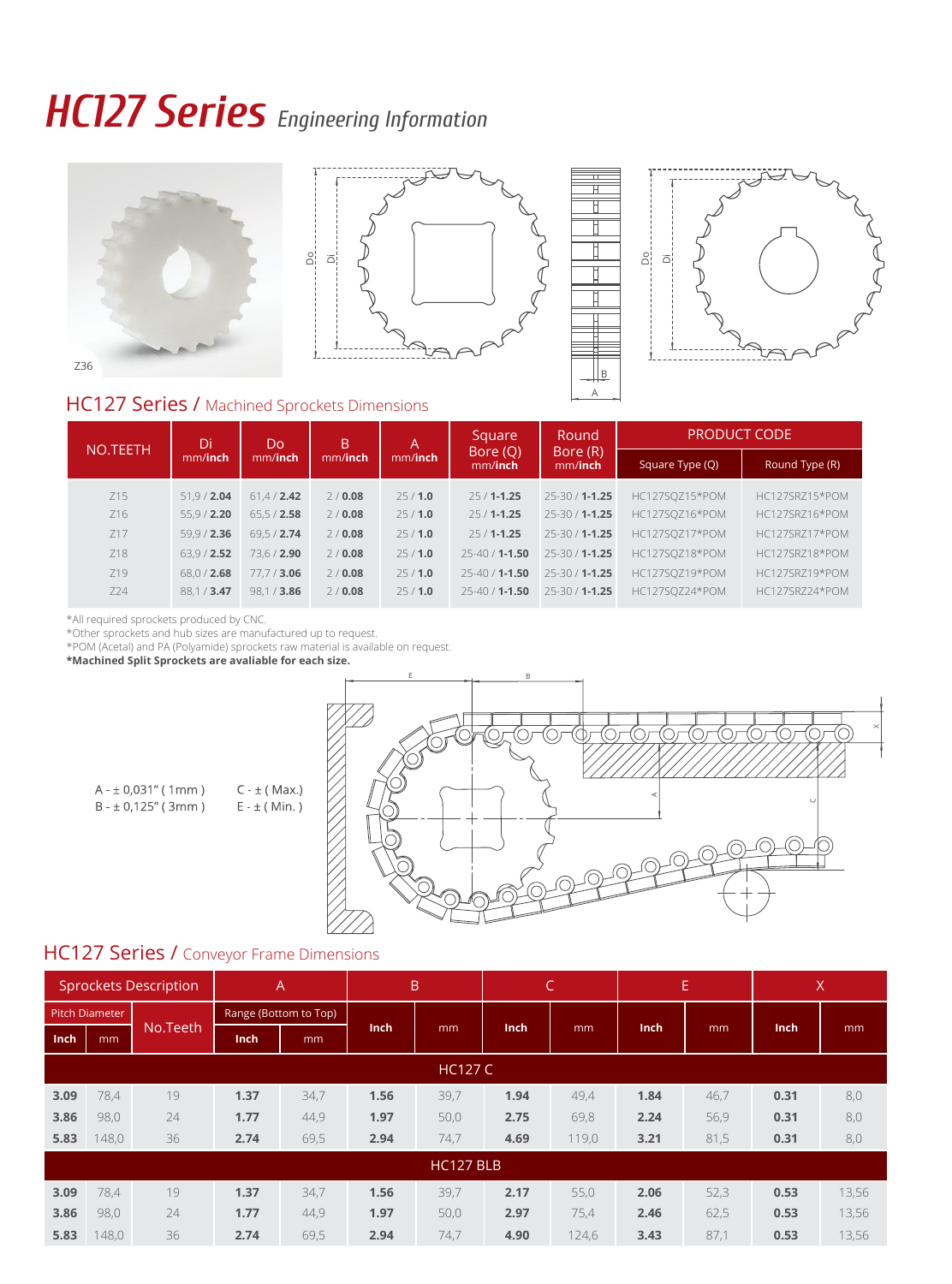## *HC127 Series Engineering Information*







#### HC127 Series / Machined Sprockets Dimensions

|                 | Di              | Do          | B.              | A       | Square               | <b>Round</b>         | <b>PRODUCT CODE</b> |                |  |
|-----------------|-----------------|-------------|-----------------|---------|----------------------|----------------------|---------------------|----------------|--|
| <b>NO.TEETH</b> | mm/ <b>inch</b> | mm/inch     | mm/ <b>inch</b> | mm/inch | Bore (Q)<br>mm/inch  | Bore (R)<br>mm/inch  | Square Type (Q)     | Round Type (R) |  |
| Z15             | 51.9 / 2.04     | 61.4 / 2.42 | 2/0.08          | 25/1.0  | $25/1 - 1.25$        | $25 - 30 / 1 - 1.25$ | HC127SOZ15*POM      | HC127SRZ15*POM |  |
| Z <sub>16</sub> | 55,9/2.20       | 65,5/2.58   | 2/0.08          | 25/1.0  | $25/1 - 1.25$        | $25 - 30 / 1 - 1.25$ | HC127SOZ16*POM      | HC127SRZ16*POM |  |
| 717             | 59.9 / 2.36     | 69.5 / 2.74 | 2/0.08          | 25/1.0  | $25/1 - 1.25$        | $25 - 30 / 1 - 1.25$ | HC127SOZ17*POM      | HC127SRZ17*POM |  |
| Z18             | 63.9 / 2.52     | 73.6 / 2.90 | 2/0.08          | 25/1.0  | $25 - 40 / 1 - 1.50$ | $25 - 30 / 1 - 1.25$ | HC127SOZ18*POM      | HC127SRZ18*POM |  |
| Z <sub>19</sub> | 68.0 / 2.68     | 77.7/3.06   | 2/0.08          | 25/1.0  | $25 - 40 / 1 - 1.50$ | $25 - 30 / 1 - 1.25$ | HC127SOZ19*POM      | HC127SRZ19*POM |  |
| Z24             | 88.1 / 3.47     | 98.1 / 3.86 | 2/0.08          | 25/1.0  | $25 - 40 / 1 - 1.50$ | $25 - 30 / 1 - 1.25$ | HC127SOZ24*POM      | HC127SRZ24*POM |  |

A

\*All required sprockets produced by CNC.

\*Other sprockets and hub sizes are manufactured up to request.

\*POM (Acetal) and PA (Polyamide) sprockets raw material is available on request.

**\*Machined Split Sprockets are avaliable for each size.**



#### HC127 Series / Conveyor Frame Dimensions

| <b>Sprockets Description</b> |                       |          | A                     |      | B    | ◡    | ∽           |       | E.          |      | X           |       |
|------------------------------|-----------------------|----------|-----------------------|------|------|------|-------------|-------|-------------|------|-------------|-------|
|                              | <b>Pitch Diameter</b> |          | Range (Bottom to Top) |      |      |      |             |       |             |      |             |       |
| Inch                         | mm                    | No.Teeth | Inch                  | mm   | Inch | mm   | <b>Inch</b> | mm    | <b>Inch</b> | mm   | <b>Inch</b> | mm    |
| <b>HC127 C</b>               |                       |          |                       |      |      |      |             |       |             |      |             |       |
| 3.09                         | 78,4                  | 19       | 1.37                  | 34,7 | 1.56 | 39,7 | 1.94        | 49,4  | 1.84        | 46,7 | 0.31        | 8,0   |
| 3.86                         | 98,0                  | 24       | 1.77                  | 44,9 | 1.97 | 50,0 | 2.75        | 69,8  | 2.24        | 56,9 | 0.31        | 8,0   |
| 5.83                         | 148,0                 | 36       | 2.74                  | 69,5 | 2.94 | 74,7 | 4.69        | 119,0 | 3.21        | 81,5 | 0.31        | 8,0   |
|                              | <b>HC127 BLB</b>      |          |                       |      |      |      |             |       |             |      |             |       |
| 3.09                         | 78,4                  | 19       | 1.37                  | 34,7 | 1.56 | 39,7 | 2.17        | 55,0  | 2.06        | 52,3 | 0.53        | 13,56 |
| 3.86                         | 98,0                  | 24       | 1.77                  | 44,9 | 1.97 | 50,0 | 2.97        | 75,4  | 2.46        | 62,5 | 0.53        | 13,56 |
| 5.83                         | 148,0                 | 36       | 2.74                  | 69,5 | 2.94 | 74,7 | 4.90        | 124,6 | 3.43        | 87,1 | 0.53        | 13,56 |